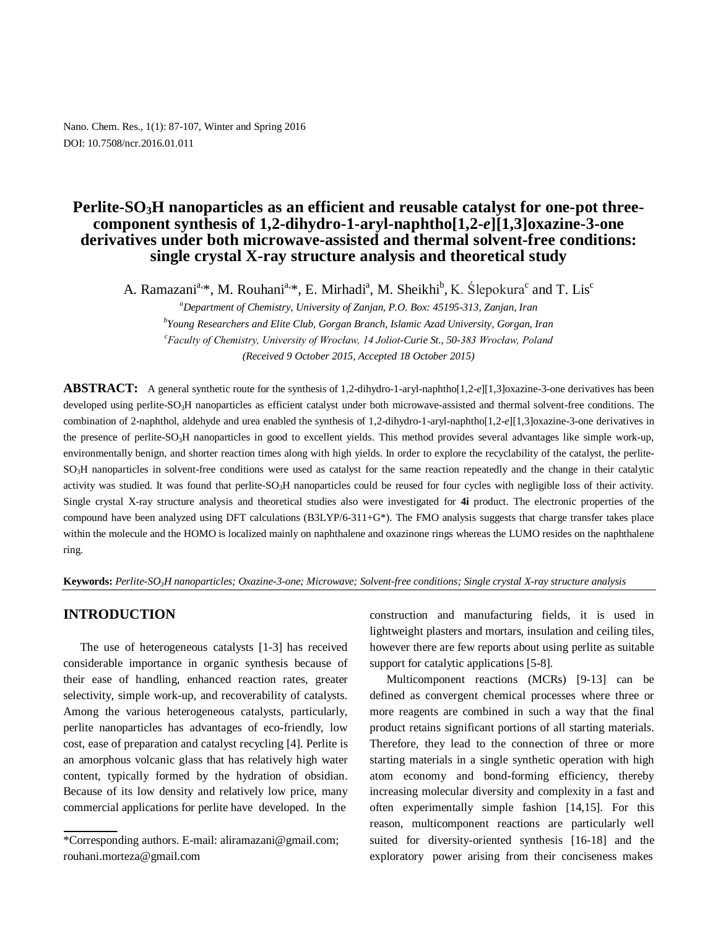Nano. Chem. Res., 1(1): 87-107, Winter and Spring 2016 DOI: 10.7508/ncr.2016.01.011

# **Perlite-SO3H nanoparticles as an efficient and reusable catalyst for one-pot threecomponent synthesis of 1,2-dihydro-1-aryl-naphtho[1,2-***e***][1,3]oxazine-3-one derivatives under both microwave-assisted and thermal solvent-free conditions: single crystal X-ray structure analysis and theoretical study**

A. Ramazani<sup>a,\*</sup>, M. Rouhani<sup>a,\*</sup>, E. Mirhadi<sup>a</sup>, M. Sheikhi<sup>b</sup>, K. Ślepokura<sup>c</sup> and T. Lis<sup>c</sup>

*<sup>a</sup>Department of Chemistry, University of Zanjan, P.O. Box: 45195-313, Zanjan, Iran b Young Researchers and Elite Club, Gorgan Branch, Islamic Azad University, Gorgan, Iran <sup>c</sup>Faculty of Chemistry, University of Wrocław, 14 Joliot-Curie St., 50-383 Wrocław, Poland (Received 9 October 2015, Accepted 18 October 2015)*

**ABSTRACT:** A general synthetic route for the synthesis of 1,2-dihydro-1-aryl-naphtho[1,2-*e*][1,3]oxazine-3-one derivatives has been developed using perlite-SO<sub>3</sub>H nanoparticles as efficient catalyst under both microwave-assisted and thermal solvent-free conditions. The combination of 2-naphthol, aldehyde and urea enabled the synthesis of 1,2-dihydro-1-aryl-naphtho[1,2-*e*][1,3]oxazine-3-one derivatives in the presence of perlite-SO<sub>3</sub>H nanoparticles in good to excellent yields. This method provides several advantages like simple work-up, environmentally benign, and shorter reaction times along with high yields. In order to explore the recyclability of the catalyst, the perlite-SO3H nanoparticles in solvent-free conditions were used as catalyst for the same reaction repeatedly and the change in their catalytic activity was studied. It was found that perlite-SO<sub>3</sub>H nanoparticles could be reused for four cycles with negligible loss of their activity. Single crystal X-ray structure analysis and theoretical studies also were investigated for **4i** product. The electronic properties of the compound have been analyzed using DFT calculations  $(B3LYP/6-311+G^*)$ . The FMO analysis suggests that charge transfer takes place within the molecule and the HOMO is localized mainly on naphthalene and oxazinone rings whereas the LUMO resides on the naphthalene ring.

**Keywords:** *Perlite-SO3H nanoparticles; Oxazine-3-one; Microwave; Solvent-free conditions; Single crystal X-ray structure analysis*

## **INTRODUCTION**

The use of heterogeneous catalysts [1-3] has received considerable importance in organic synthesis because of their ease of handling, enhanced reaction rates, greater selectivity, simple work-up, and recoverability of catalysts. Among the various heterogeneous catalysts, particularly, perlite nanoparticles has advantages of eco-friendly, low cost, ease of preparation and catalyst recycling [4]. Perlite is an amorphous volcanic glass that has relatively high water content, typically formed by the hydration of obsidian. Because of its low density and relatively low price, many commercial applications for perlite have developed. In the

construction and manufacturing fields, it is used in lightweight plasters and mortars, insulation and ceiling tiles, however there are few reports about using perlite as suitable support for catalytic applications [5-8].

Multicomponent reactions (MCRs) [9-13] can be defined as convergent chemical processes where three or more reagents are combined in such a way that the final product retains significant portions of all starting materials. Therefore, they lead to the connection of three or more starting materials in a single synthetic operation with high atom economy and bond-forming efficiency, thereby increasing molecular diversity and complexity in a fast and often experimentally simple fashion [14,15]. For this reason, multicomponent reactions are particularly well suited for diversity-oriented synthesis [16-18] and the exploratory power arising from their conciseness makes

<sup>\*</sup>Corresponding authors. E-mail: aliramazani@gmail.com; rouhani.morteza@gmail.com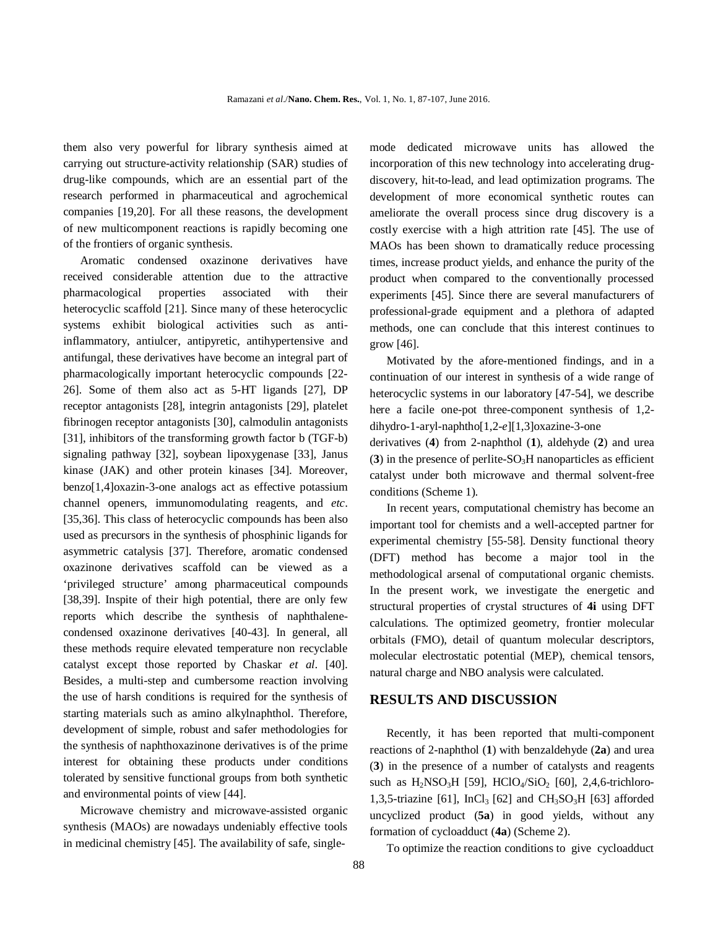them also very powerful for library synthesis aimed at carrying out structure-activity relationship (SAR) studies of drug-like compounds, which are an essential part of the research performed in pharmaceutical and agrochemical companies [19,20]. For all these reasons, the development of new multicomponent reactions is rapidly becoming one of the frontiers of organic synthesis.

Aromatic condensed oxazinone derivatives have received considerable attention due to the attractive pharmacological properties associated with their heterocyclic scaffold [21]. Since many of these heterocyclic systems exhibit biological activities such as antiinflammatory, antiulcer, antipyretic, antihypertensive and antifungal, these derivatives have become an integral part of pharmacologically important heterocyclic compounds [22- 26]. Some of them also act as 5-HT ligands [27], DP receptor antagonists [28], integrin antagonists [29], platelet fibrinogen receptor antagonists [30], calmodulin antagonists [31], inhibitors of the transforming growth factor b (TGF-b) signaling pathway [32], soybean lipoxygenase [33], Janus kinase (JAK) and other protein kinases [34]. Moreover, benzo[1,4]oxazin-3-one analogs act as effective potassium channel openers, immunomodulating reagents, and *etc*. [35,36]. This class of heterocyclic compounds has been also used as precursors in the synthesis of phosphinic ligands for asymmetric catalysis [37]. Therefore, aromatic condensed oxazinone derivatives scaffold can be viewed as a 'privileged structure' among pharmaceutical compounds [38,39]. Inspite of their high potential, there are only few reports which describe the synthesis of naphthalenecondensed oxazinone derivatives [40-43]. In general, all these methods require elevated temperature non recyclable catalyst except those reported by Chaskar *et al*. [40]. Besides, a multi-step and cumbersome reaction involving the use of harsh conditions is required for the synthesis of starting materials such as amino alkylnaphthol. Therefore, development of simple, robust and safer methodologies for the synthesis of naphthoxazinone derivatives is of the prime interest for obtaining these products under conditions tolerated by sensitive functional groups from both synthetic and environmental points of view [44].

Microwave chemistry and microwave-assisted organic synthesis (MAOs) are nowadays undeniably effective tools in medicinal chemistry [45]. The availability of safe, singlemode dedicated microwave units has allowed the incorporation of this new technology into accelerating drugdiscovery, hit-to-lead, and lead optimization programs. The development of more economical synthetic routes can ameliorate the overall process since drug discovery is a costly exercise with a high attrition rate [45]. The use of MAOs has been shown to dramatically reduce processing times, increase product yields, and enhance the purity of the product when compared to the conventionally processed experiments [45]. Since there are several manufacturers of professional-grade equipment and a plethora of adapted methods, one can conclude that this interest continues to grow [46].

Motivated by the afore-mentioned findings, and in a continuation of our interest in synthesis of a wide range of heterocyclic systems in our laboratory [47-54], we describe here a facile one-pot three-component synthesis of 1,2 dihydro-1-aryl-naphtho[1,2-*e*][1,3]oxazine-3-one

derivatives (**4**) from 2-naphthol (**1**), aldehyde (**2**) and urea  $(3)$  in the presence of perlite-SO<sub>3</sub>H nanoparticles as efficient catalyst under both microwave and thermal solvent-free conditions (Scheme 1).

In recent years, computational chemistry has become an important tool for chemists and a well-accepted partner for experimental chemistry [55-58]. Density functional theory (DFT) method has become a major tool in the methodological arsenal of computational organic chemists. In the present work, we investigate the energetic and structural properties of crystal structures of **4i** using DFT calculations. The optimized geometry, frontier molecular orbitals (FMO), detail of quantum molecular descriptors, molecular electrostatic potential (MEP), chemical tensors, natural charge and NBO analysis were calculated.

## **RESULTS AND DISCUSSION**

Recently, it has been reported that multi-component reactions of 2-naphthol (**1**) with benzaldehyde (**2a**) and urea (**3**) in the presence of a number of catalysts and reagents such as  $H_2NSO_3H$  [59],  $HClO_4/SiO_2$  [60], 2,4,6-trichloro-1,3,5-triazine [61], InCl<sub>3</sub> [62] and CH<sub>3</sub>SO<sub>3</sub>H [63] afforded uncyclized product (**5a**) in good yields, without any formation of cycloadduct (**4a**) (Scheme 2).

To optimize the reaction conditions to give cycloadduct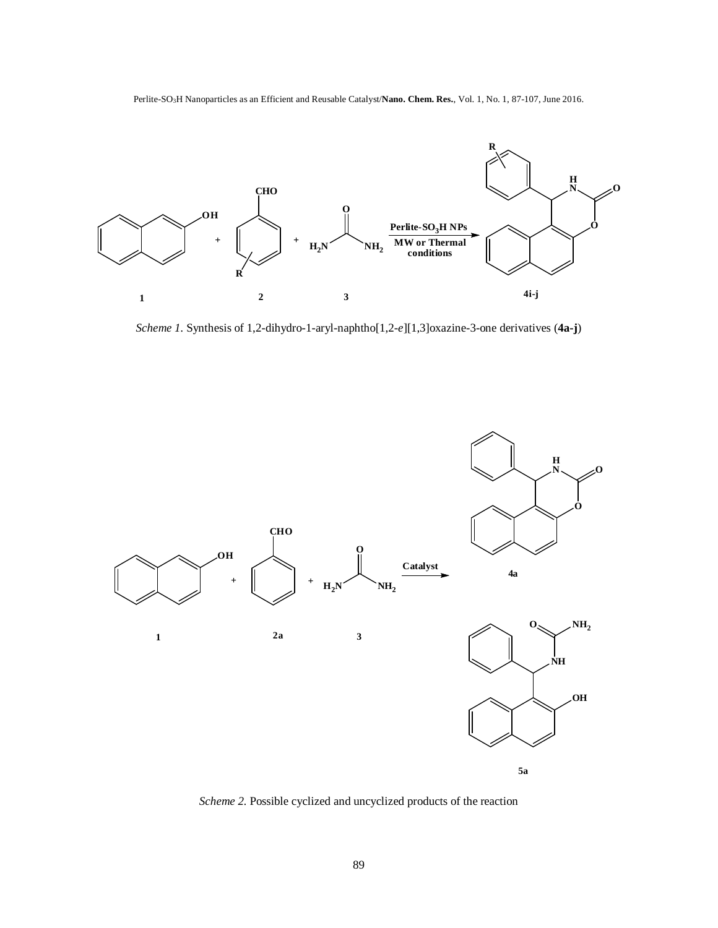Perlite-SO3H Nanoparticles as an Efficient and Reusable Catalyst/**Nano. Chem. Res.**, Vol. 1, No. 1, 87-107, June 2016.



*Scheme 1.* Synthesis of 1,2-dihydro-1-aryl-naphtho[1,2-*e*][1,3]oxazine-3-one derivatives (**4a-j**)



*Scheme 2.* Possible cyclized and uncyclized products of the reaction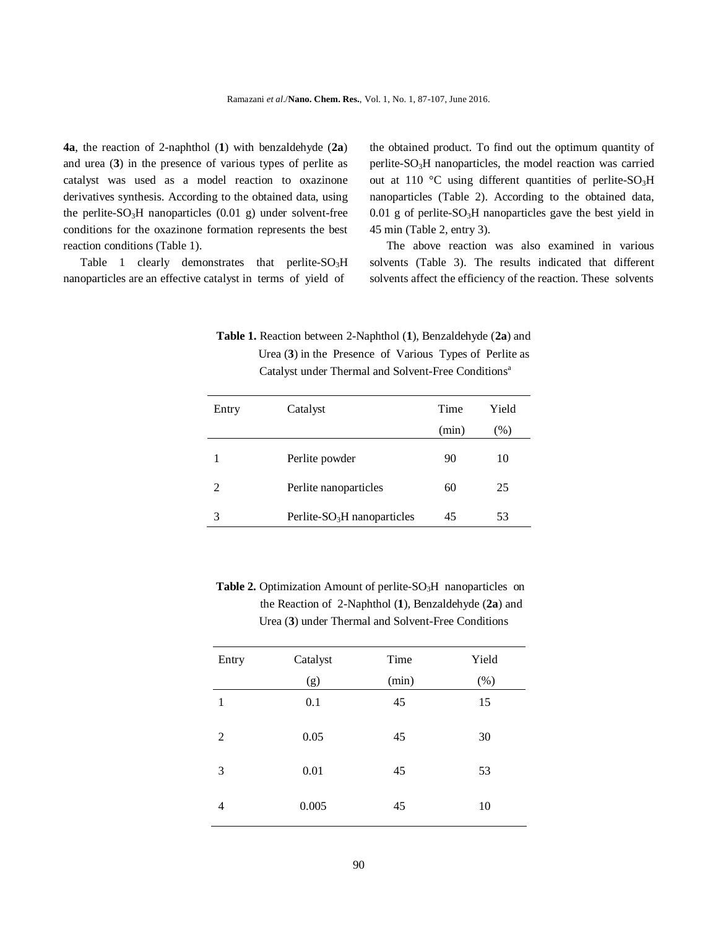**4a**, the reaction of 2-naphthol (**1**) with benzaldehyde (**2a**) and urea (**3**) in the presence of various types of perlite as catalyst was used as a model reaction to oxazinone derivatives synthesis. According to the obtained data, using the perlite- $SO<sub>3</sub>H$  nanoparticles (0.01 g) under solvent-free conditions for the oxazinone formation represents the best reaction conditions (Table 1).

Table 1 clearly demonstrates that perlite- $SO<sub>3</sub>H$ nanoparticles are an effective catalyst in terms of yield of

the obtained product. To find out the optimum quantity of perlite-SO3H nanoparticles, the model reaction was carried out at 110 °C using different quantities of perlite-SO<sub>3</sub>H nanoparticles (Table 2). According to the obtained data,  $0.01$  g of perlite-SO<sub>3</sub>H nanoparticles gave the best yield in 45 min (Table 2, entry 3).

The above reaction was also examined in various solvents (Table 3). The results indicated that different solvents affect the efficiency of the reaction. These solvents

 **Table 1.** Reaction between 2-Naphthol (**1**), Benzaldehyde (**2a**) and Urea (**3**) in the Presence of Various Types of Perlite as Catalyst under Thermal and Solvent-Free Conditions<sup>a</sup>

| Entry          | Catalyst                      | Time  | Yield |
|----------------|-------------------------------|-------|-------|
|                |                               | (min) | (% )  |
|                | Perlite powder                | 90    | 10    |
| $\mathfrak{D}$ | Perlite nanoparticles         | 60    | 25    |
| 3              | Perlite- $SO3H$ nanoparticles | 45    | 53    |

**Table 2.** Optimization Amount of perlite-SO<sub>3</sub>H nanoparticles on the Reaction of 2-Naphthol (**1**), Benzaldehyde (**2a**) and Urea (**3**) under Thermal and Solvent-Free Conditions

| Entry | Catalyst | Time  | Yield  |
|-------|----------|-------|--------|
|       | (g)      | (min) | $(\%)$ |
| 1     | 0.1      | 45    | 15     |
| 2     | 0.05     | 45    | 30     |
| 3     | 0.01     | 45    | 53     |
| 4     | 0.005    | 45    | 10     |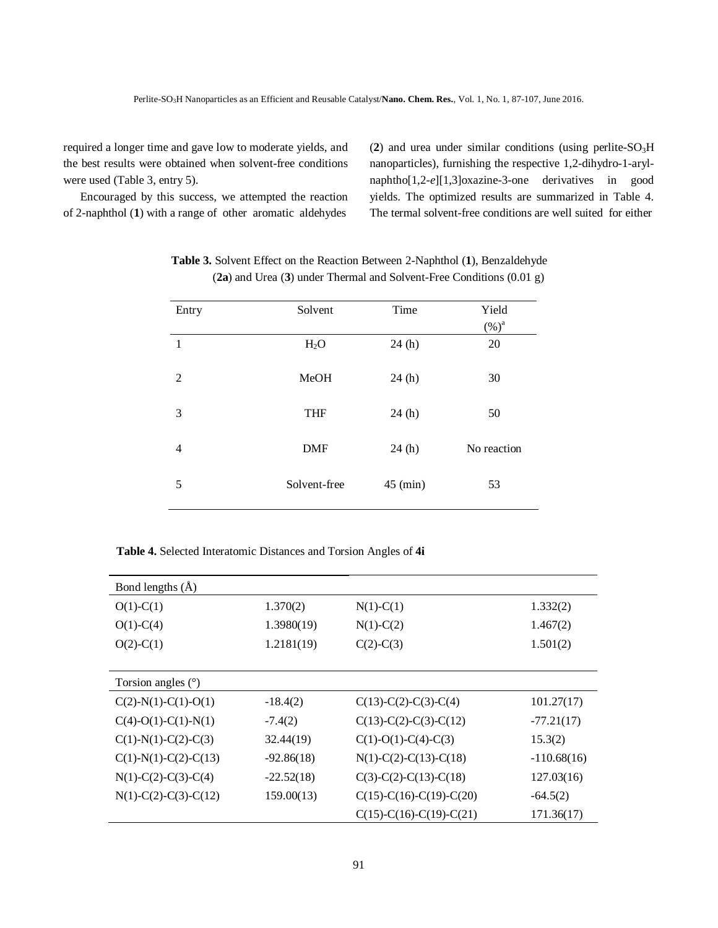required a longer time and gave low to moderate yields, and the best results were obtained when solvent-free conditions were used (Table 3, entry 5).

Encouraged by this success, we attempted the reaction of 2-naphthol (**1**) with a range of other aromatic aldehydes

(2) and urea under similar conditions (using perlite- $SO<sub>3</sub>H$ nanoparticles), furnishing the respective 1,2-dihydro-1-arylnaphtho[1,2-*e*][1,3]oxazine-3-one derivatives in good yields. The optimized results are summarized in Table 4. The termal solvent-free conditions are well suited for either

| Entry          | Solvent          | Time       | Yield<br>$(\%)^a$ |
|----------------|------------------|------------|-------------------|
| 1              | H <sub>2</sub> O | 24(h)      | 20                |
| $\overline{2}$ | MeOH             | 24(h)      | 30                |
| 3              | <b>THF</b>       | 24(h)      | 50                |
| $\overline{4}$ | <b>DMF</b>       | 24(h)      | No reaction       |
| 5              | Solvent-free     | $45$ (min) | 53                |

 **Table 3.** Solvent Effect on the Reaction Between 2-Naphthol (**1**), Benzaldehyde (**2a**) and Urea (**3**) under Thermal and Solvent-Free Conditions (0.01 g)

 **Table 4.** Selected Interatomic Distances and Torsion Angles of **4i**

| Bond lengths (Å)       |              |                           |               |
|------------------------|--------------|---------------------------|---------------|
| $O(1)-C(1)$            | 1.370(2)     | $N(1)-C(1)$               | 1.332(2)      |
| $O(1)-C(4)$            | 1.3980(19)   | $N(1)-C(2)$               | 1.467(2)      |
| $O(2)$ -C(1)           | 1.2181(19)   | $C(2)-C(3)$               | 1.501(2)      |
|                        |              |                           |               |
| Torsion angles $(°)$   |              |                           |               |
| $C(2)-N(1)-C(1)-O(1)$  | $-18.4(2)$   | $C(13)-C(2)-C(3)-C(4)$    | 101.27(17)    |
| $C(4)-O(1)-C(1)-N(1)$  | $-7.4(2)$    | $C(13)-C(2)-C(3)-C(12)$   | $-77.21(17)$  |
| $C(1)-N(1)-C(2)-C(3)$  | 32.44(19)    | $C(1)-O(1)-C(4)-C(3)$     | 15.3(2)       |
| $C(1)-N(1)-C(2)-C(13)$ | $-92.86(18)$ | $N(1)-C(2)-C(13)-C(18)$   | $-110.68(16)$ |
| $N(1)-C(2)-C(3)-C(4)$  | $-22.52(18)$ | $C(3)-C(2)-C(13)-C(18)$   | 127.03(16)    |
| $N(1)-C(2)-C(3)-C(12)$ | 159.00(13)   | $C(15)-C(16)-C(19)-C(20)$ | $-64.5(2)$    |
|                        |              | $C(15)-C(16)-C(19)-C(21)$ | 171.36(17)    |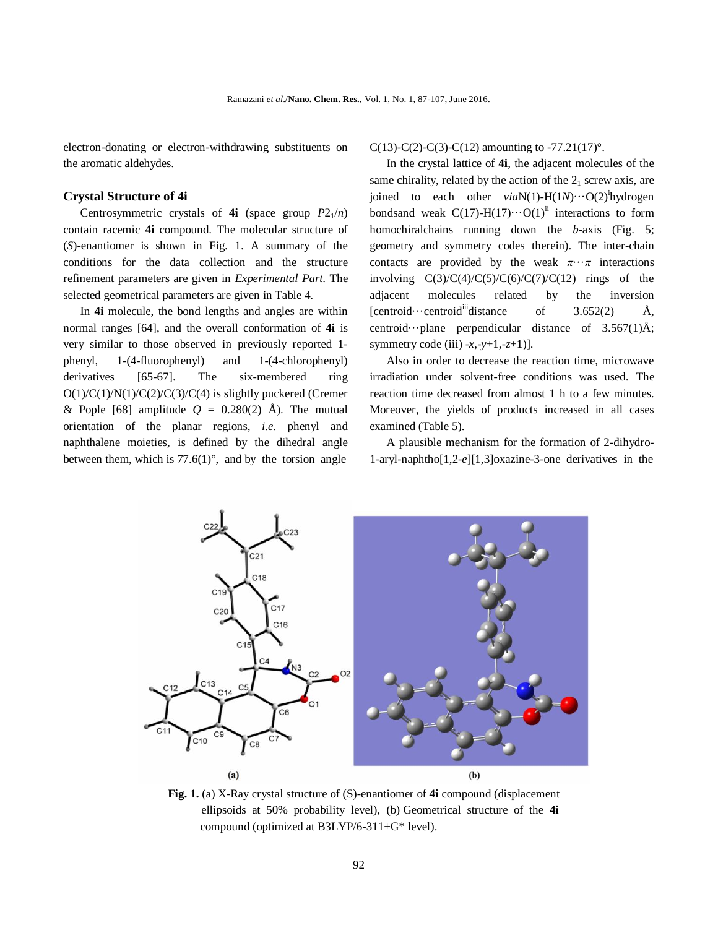electron-donating or electron-withdrawing substituents on the aromatic aldehydes.

### **Crystal Structure of 4i**

Centrosymmetric crystals of **4i** (space group  $P2_1/n$ ) contain racemic **4i** compound. The molecular structure of (*S*)-enantiomer is shown in Fig. 1. A summary of the conditions for the data collection and the structure refinement parameters are given in *Experimental Part*. The selected geometrical parameters are given in Table 4.

In **4i** molecule, the bond lengths and angles are within normal ranges [64], and the overall conformation of **4i** is very similar to those observed in previously reported 1 phenyl, 1-(4-fluorophenyl) and 1-(4-chlorophenyl) derivatives [65-67]. The six-membered ring O(1)/C(1)/N(1)/C(2)/C(3)/C(4) is slightly puckered (Cremer & Pople [68] amplitude  $Q = 0.280(2)$  Å). The mutual orientation of the planar regions, *i.e.* phenyl and naphthalene moieties, is defined by the dihedral angle between them, which is  $77.6(1)^\circ$ , and by the torsion angle

C(13)-C(2)-C(3)-C(12) amounting to -77.21(17)°.

In the crystal lattice of **4i**, the adjacent molecules of the same chirality, related by the action of the  $2<sub>1</sub>$  screw axis, are joined to each other *via*N(1)-H(1*N*)···O(2)<sup>i</sup>hydrogen bondsand weak  $C(17)-H(17)\cdots O(1)^{ii}$  interactions to form homochiralchains running down the *b*-axis (Fig. 5; geometry and symmetry codes therein). The inter-chain contacts are provided by the weak  $\pi \cdot \cdot \pi$  interactions involving  $C(3)/C(4)/C(5)/C(6)/C(7)/C(12)$  rings of the adjacent molecules related by the inversion  $[centroid \cdots centroid \cdots$ distance of 3.652(2)  $\AA$ , centroid···plane perpendicular distance of  $3.567(1)$ Å; symmetry code (iii) -*x*,-*y*+1,-*z*+1)].

Also in order to decrease the reaction time, microwave irradiation under solvent-free conditions was used. The reaction time decreased from almost 1 h to a few minutes. Moreover, the yields of products increased in all cases examined (Table 5).

A plausible mechanism for the formation of 2-dihydro-1-aryl-naphtho[1,2-*e*][1,3]oxazine-3-one derivatives in the



**Fig. 1.** (a) X-Ray crystal structure of (S)-enantiomer of **4i** compound (displacement ellipsoids at 50% probability level), (b) Geometrical structure of the **4i** compound (optimized at B3LYP/6-311+G\* level).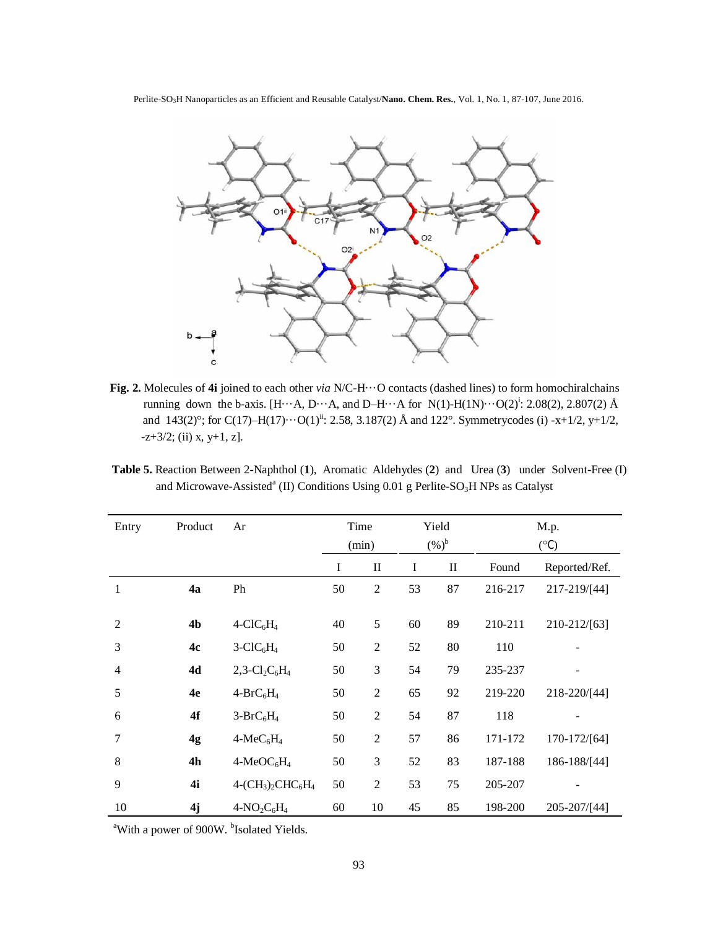Perlite-SO3H Nanoparticles as an Efficient and Reusable Catalyst/**Nano. Chem. Res.**, Vol. 1, No. 1, 87-107, June 2016.



**Fig. 2.** Molecules of **4i** joined to each other *via* N/C-H···O contacts (dashed lines) to form homochiralchains running down the b-axis. [H $\cdots$ A, D $\cdots$ A, and D-H $\cdots$ A for N(1)-H(1N) $\cdots$ O(2)<sup>i</sup>: 2.08(2), 2.807(2) Å and  $143(2)^\circ$ ; for C(17)–H(17)···O(1)<sup>ii</sup>: 2.58, 3.187(2) Å and 122°. Symmetrycodes (i) -x+1/2, y+1/2,  $-z+3/2$ ; (ii) x, y+1, z].

 **Table 5.** Reaction Between 2-Naphthol (**1**), Aromatic Aldehydes (**2**) and Urea (**3**) under Solvent-Free (I) and Microwave-Assisted<sup>a</sup> (II) Conditions Using 0.01 g Perlite-SO<sub>3</sub>H NPs as Catalyst

| Entry          | Product        | Ar                   | Time<br>(min) |                | Yield<br>$(%)^b$ |          | M.p.<br>$(^{\circ}C)$ |               |
|----------------|----------------|----------------------|---------------|----------------|------------------|----------|-----------------------|---------------|
|                |                |                      | I             | $\mathbf{I}$   | I                | $\rm II$ | Found                 | Reported/Ref. |
| $\mathbf{1}$   | 4a             | Ph                   | 50            | $\overline{2}$ | 53               | 87       | 216-217               | 217-219/[44]  |
|                |                |                      |               |                |                  |          |                       |               |
| $\overline{2}$ | 4 <sub>b</sub> | $4-CIC6H4$           | 40            | 5              | 60               | 89       | 210-211               | 210-212/[63]  |
| 3              | 4c             | $3-CIC6H4$           | 50            | $\overline{2}$ | 52               | 80       | 110                   |               |
| $\overline{4}$ | 4d             | 2,3- $Cl_2C_6H_4$    | 50            | 3              | 54               | 79       | 235-237               |               |
| 5              | 4e             | $4-BrC_6H_4$         | 50            | $\overline{2}$ | 65               | 92       | 219-220               | 218-220/[44]  |
| 6              | 4f             | $3-BrC_6H_4$         | 50            | $\overline{2}$ | 54               | 87       | 118                   |               |
| 7              | 4g             | $4-MeC6H4$           | 50            | $\overline{2}$ | 57               | 86       | 171-172               | 170-172/[64]  |
| 8              | 4h             | $4-MeOC6H4$          | 50            | 3              | 52               | 83       | 187-188               | 186-188/[44]  |
| 9              | 4i             | $4-(CH_3)_2CHC_6H_4$ | 50            | $\overline{2}$ | 53               | 75       | 205-207               |               |
| 10             | 4j             | $4-NO_2C_6H_4$       | 60            | 10             | 45               | 85       | 198-200               | 205-207/[44]  |

<sup>a</sup>With a power of 900W. <sup>b</sup>Isolated Yields.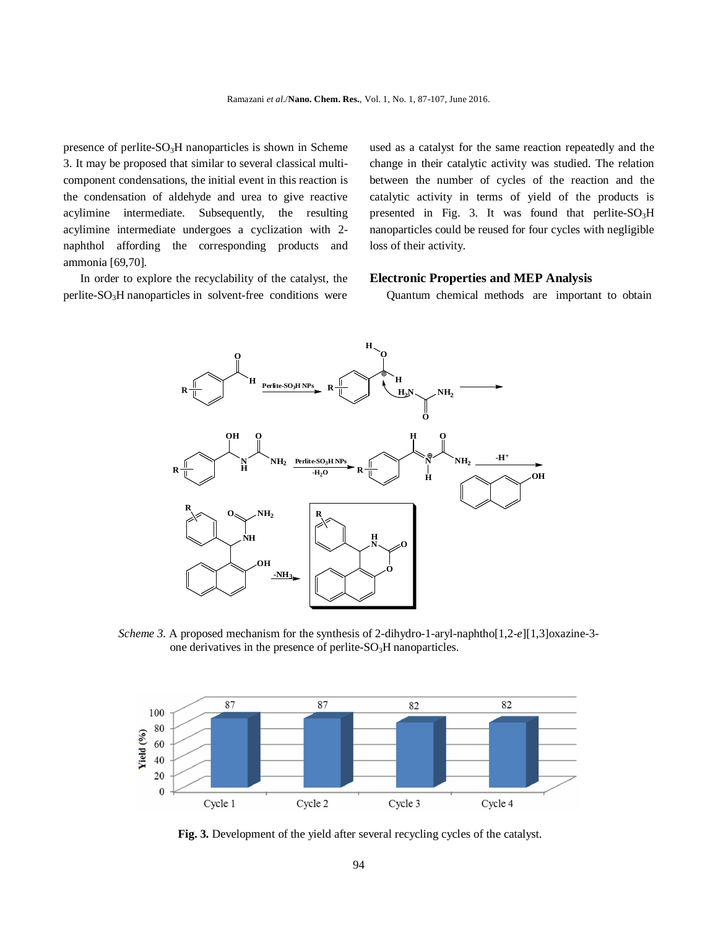presence of perlite- $SO<sub>3</sub>H$  nanoparticles is shown in Scheme 3. It may be proposed that similar to several classical multicomponent condensations, the initial event in this reaction is the condensation of aldehyde and urea to give reactive acylimine intermediate. Subsequently, the resulting acylimine intermediate undergoes a cyclization with 2 naphthol affording the corresponding products and ammonia [69,70].

In order to explore the recyclability of the catalyst, the perlite-SO3H nanoparticles in solvent-free conditions were used as a catalyst for the same reaction repeatedly and the change in their catalytic activity was studied. The relation between the number of cycles of the reaction and the catalytic activity in terms of yield of the products is presented in Fig. 3. It was found that perlite- $SO_3H$ nanoparticles could be reused for four cycles with negligible loss of their activity.

#### **Electronic Properties and MEP Analysis**

Quantum chemical methods are important to obtain



*Scheme 3.* A proposed mechanism for the synthesis of 2-dihydro-1-aryl-naphtho[1,2-*e*][1,3]oxazine-3 one derivatives in the presence of perlite- $SO<sub>3</sub>H$  nanoparticles.



 **Fig. 3.** Development of the yield after several recycling cycles of the catalyst.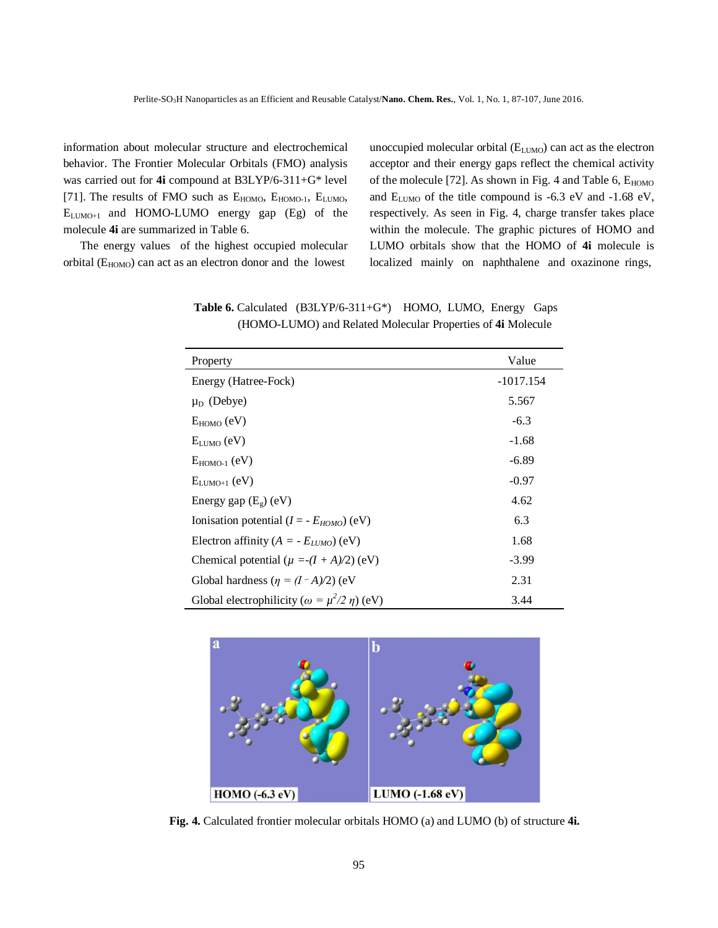information about molecular structure and electrochemical behavior. The Frontier Molecular Orbitals (FMO) analysis was carried out for **4i** compound at B3LYP/6-311+G\* level [71]. The results of FMO such as  $E_{HOMO}$ ,  $E_{HOMO-1}$ ,  $E_{LUMO}$ ,  $E_{LUMO+1}$  and HOMO-LUMO energy gap (Eg) of the molecule **4i** are summarized in Table 6.

The energy values of the highest occupied molecular orbital  $(E_{HOMO})$  can act as an electron donor and the lowest

unoccupied molecular orbital (E<sub>LUMO</sub>) can act as the electron acceptor and their energy gaps reflect the chemical activity of the molecule [72]. As shown in Fig. 4 and Table 6,  $E_{HOMO}$ and  $E_{LUMO}$  of the title compound is -6.3 eV and -1.68 eV, respectively. As seen in Fig. 4, charge transfer takes place within the molecule. The graphic pictures of HOMO and LUMO orbitals show that the HOMO of **4i** molecule is localized mainly on naphthalene and oxazinone rings,

| Property                                                 | Value       |
|----------------------------------------------------------|-------------|
| Energy (Hatree-Fock)                                     | $-1017.154$ |
| $\mu_D$ (Debye)                                          | 5.567       |
| $E_{HOMO}$ (eV)                                          | $-6.3$      |
| $E_{LUMO}$ (eV)                                          | $-1.68$     |
| $E_{HOMO-1}$ (eV)                                        | $-6.89$     |
| $E_{LIMO+1}$ (eV)                                        | $-0.97$     |
| Energy gap $(E_g)$ (eV)                                  | 4.62        |
| Ionisation potential ( $I = -E_{HOMO}$ ) (eV)            | 6.3         |
| Electron affinity ( $A = -E_{LUMO}$ ) (eV)               | 1.68        |
| Chemical potential ( $\mu = (I + A)/2$ ) (eV)            | $-3.99$     |
| Global hardness ( $\eta = (I - A)/2$ ) (eV               | 2.31        |
| Global electrophilicity ( $\omega = \mu^2/2 \eta$ ) (eV) | 3.44        |

 **Table 6.** Calculated (B3LYP/6-311+G\*) HOMO, LUMO, Energy Gaps (HOMO-LUMO) and Related Molecular Properties of **4i** Molecule



**Fig. 4.** Calculated frontier molecular orbitals HOMO (a) and LUMO (b) of structure **4i.**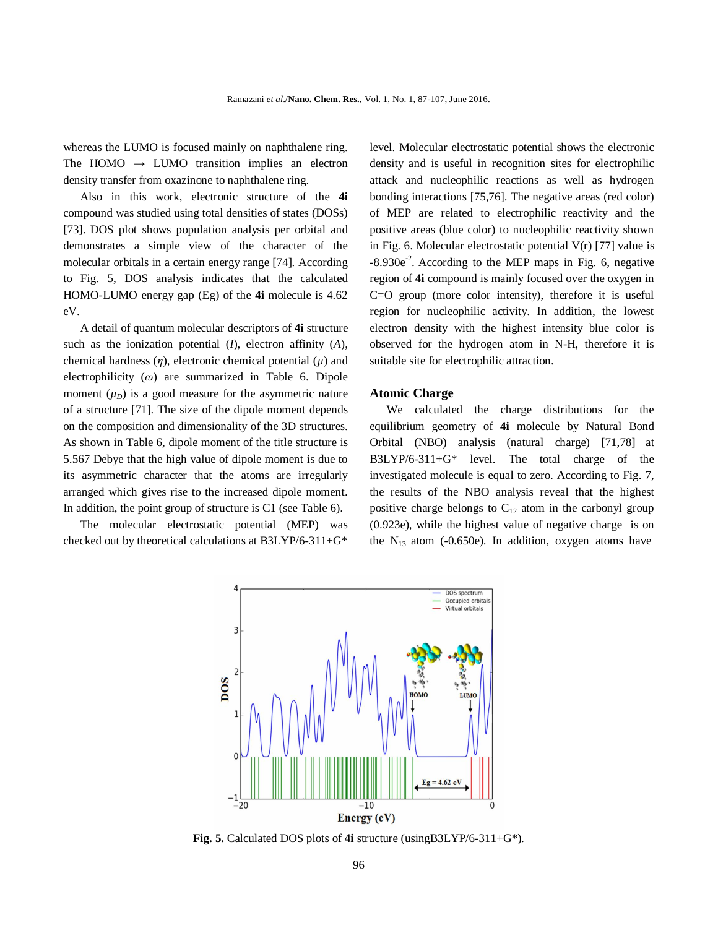whereas the LUMO is focused mainly on naphthalene ring. The HOMO  $\rightarrow$  LUMO transition implies an electron density transfer from oxazinone to naphthalene ring.

Also in this work, electronic structure of the **4i** compound was studied using total densities of states (DOSs) [73]. DOS plot shows population analysis per orbital and demonstrates a simple view of the character of the molecular orbitals in a certain energy range [74]. According to Fig. 5, DOS analysis indicates that the calculated HOMO-LUMO energy gap (Eg) of the **4i** molecule is 4.62 eV.

A detail of quantum molecular descriptors of **4i** structure such as the ionization potential (*I*), electron affinity (*A*), chemical hardness  $(\eta)$ , electronic chemical potential  $(\mu)$  and electrophilicity (*ω*) are summarized in Table 6. Dipole moment  $(\mu_D)$  is a good measure for the asymmetric nature of a structure [71]. The size of the dipole moment depends on the composition and dimensionality of the 3D structures. As shown in Table 6, dipole moment of the title structure is 5.567 Debye that the high value of dipole moment is due to its asymmetric character that the atoms are irregularly arranged which gives rise to the increased dipole moment. In addition, the point group of structure is C1 (see Table 6).

The molecular electrostatic potential (MEP) was checked out by theoretical calculations at B3LYP/6-311+G\*

level. Molecular electrostatic potential shows the electronic density and is useful in recognition sites for electrophilic attack and nucleophilic reactions as well as hydrogen bonding interactions [75,76]. The negative areas (red color) of MEP are related to electrophilic reactivity and the positive areas (blue color) to nucleophilic reactivity shown in Fig. 6. Molecular electrostatic potential  $V(r)$  [77] value is  $-8.930e^{-2}$ . According to the MEP maps in Fig. 6, negative region of **4i** compound is mainly focused over the oxygen in C=O group (more color intensity), therefore it is useful region for nucleophilic activity. In addition, the lowest electron density with the highest intensity blue color is observed for the hydrogen atom in N-H, therefore it is suitable site for electrophilic attraction.

### **Atomic Charge**

We calculated the charge distributions for the equilibrium geometry of **4i** molecule by Natural Bond Orbital (NBO) analysis (natural charge) [71,78] at B3LYP/6-311+G\* level. The total charge of the investigated molecule is equal to zero. According to Fig. 7, the results of the NBO analysis reveal that the highest positive charge belongs to  $C_{12}$  atom in the carbonyl group (0.923e), while the highest value of negative charge is on the  $N_{13}$  atom (-0.650e). In addition, oxygen atoms have



**Fig. 5.** Calculated DOS plots of **4i** structure (usingB3LYP/6-311+G\*).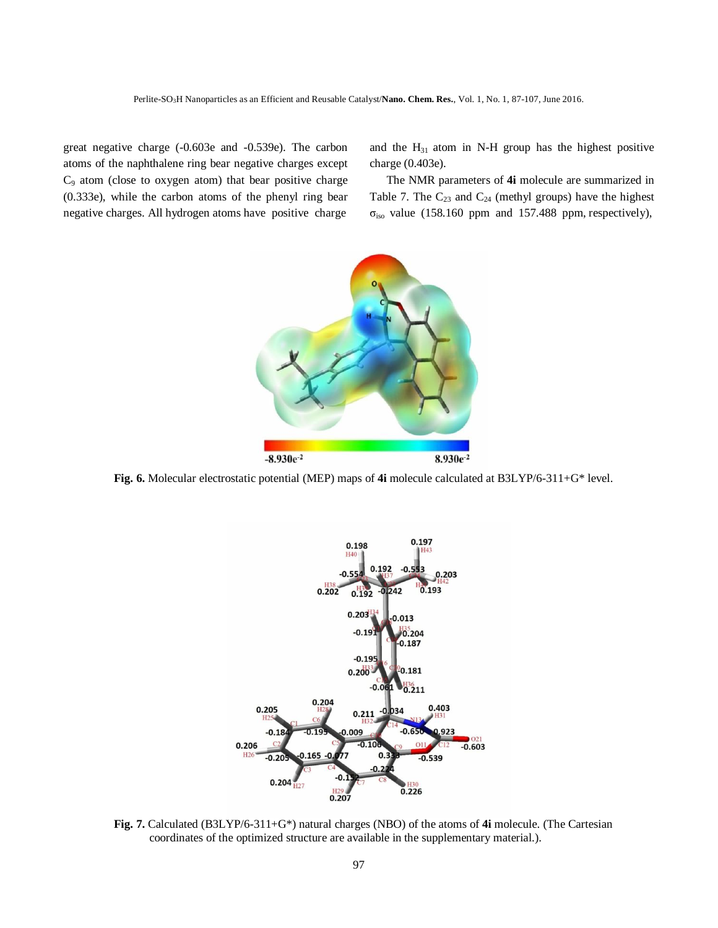great negative charge (-0.603e and -0.539e). The carbon atoms of the naphthalene ring bear negative charges except C9 atom (close to oxygen atom) that bear positive charge (0.333e), while the carbon atoms of the phenyl ring bear negative charges. All hydrogen atoms have positive charge

and the  $H_{31}$  atom in N-H group has the highest positive charge (0.403e).

The NMR parameters of **4i** molecule are summarized in Table 7. The  $C_{23}$  and  $C_{24}$  (methyl groups) have the highest  $\sigma_{iso}$  value (158.160 ppm and 157.488 ppm, respectively),



**Fig. 6.** Molecular electrostatic potential (MEP) maps of **4i** molecule calculated at B3LYP/6-311+G\* level.



**Fig. 7.** Calculated (B3LYP/6-311+G\*) natural charges (NBO) of the atoms of **4i** molecule. (The Cartesian coordinates of the optimized structure are available in the supplementary material.).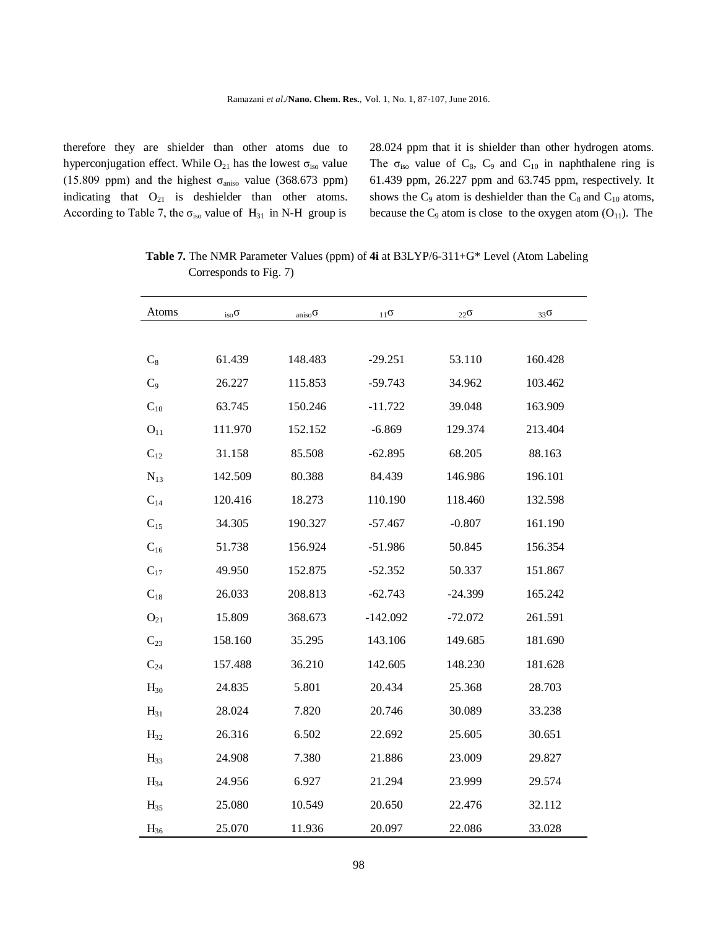therefore they are shielder than other atoms due to hyperconjugation effect. While  $O_{21}$  has the lowest  $\sigma_{iso}$  value (15.809 ppm) and the highest  $\sigma_{aniso}$  value (368.673 ppm) indicating that  $O_{21}$  is deshielder than other atoms. According to Table 7, the  $\sigma_{iso}$  value of H<sub>31</sub> in N-H group is

28.024 ppm that it is shielder than other hydrogen atoms. The  $\sigma_{iso}$  value of  $C_8$ ,  $C_9$  and  $C_{10}$  in naphthalene ring is 61.439 ppm, 26.227 ppm and 63.745 ppm, respectively. It shows the  $C_9$  atom is deshielder than the  $C_8$  and  $C_{10}$  atoms, because the  $C_9$  atom is close to the oxygen atom  $(O_{11})$ . The

| Atoms    | $_{\rm iso}$ O | aniso $\sigma$ | 11 <sup>0</sup> | $22\sigma$ | $33\sigma$ |
|----------|----------------|----------------|-----------------|------------|------------|
|          |                |                |                 |            |            |
| $C_8$    | 61.439         | 148.483        | $-29.251$       | 53.110     | 160.428    |
| $C_9$    | 26.227         | 115.853        | $-59.743$       | 34.962     | 103.462    |
| $C_{10}$ | 63.745         | 150.246        | $-11.722$       | 39.048     | 163.909    |
| $O_{11}$ | 111.970        | 152.152        | $-6.869$        | 129.374    | 213.404    |
| $C_{12}$ | 31.158         | 85.508         | $-62.895$       | 68.205     | 88.163     |
| $N_{13}$ | 142.509        | 80.388         | 84.439          | 146.986    | 196.101    |
| $C_{14}$ | 120.416        | 18.273         | 110.190         | 118.460    | 132.598    |
| $C_{15}$ | 34.305         | 190.327        | $-57.467$       | $-0.807$   | 161.190    |
| $C_{16}$ | 51.738         | 156.924        | $-51.986$       | 50.845     | 156.354    |
| $C_{17}$ | 49.950         | 152.875        | $-52.352$       | 50.337     | 151.867    |
| $C_{18}$ | 26.033         | 208.813        | $-62.743$       | $-24.399$  | 165.242    |
| $O_{21}$ | 15.809         | 368.673        | $-142.092$      | $-72.072$  | 261.591    |
| $C_{23}$ | 158.160        | 35.295         | 143.106         | 149.685    | 181.690    |
| $C_{24}$ | 157.488        | 36.210         | 142.605         | 148.230    | 181.628    |
| $H_{30}$ | 24.835         | 5.801          | 20.434          | 25.368     | 28.703     |
| $H_{31}$ | 28.024         | 7.820          | 20.746          | 30.089     | 33.238     |
| $H_{32}$ | 26.316         | 6.502          | 22.692          | 25.605     | 30.651     |
| $H_{33}$ | 24.908         | 7.380          | 21.886          | 23.009     | 29.827     |
| $H_{34}$ | 24.956         | 6.927          | 21.294          | 23.999     | 29.574     |
| $H_{35}$ | 25.080         | 10.549         | 20.650          | 22.476     | 32.112     |
| $H_{36}$ | 25.070         | 11.936         | 20.097          | 22.086     | 33.028     |

 **Table 7.** The NMR Parameter Values (ppm) of **4i** at B3LYP/6-311+G\* Level (Atom Labeling Corresponds to Fig. 7)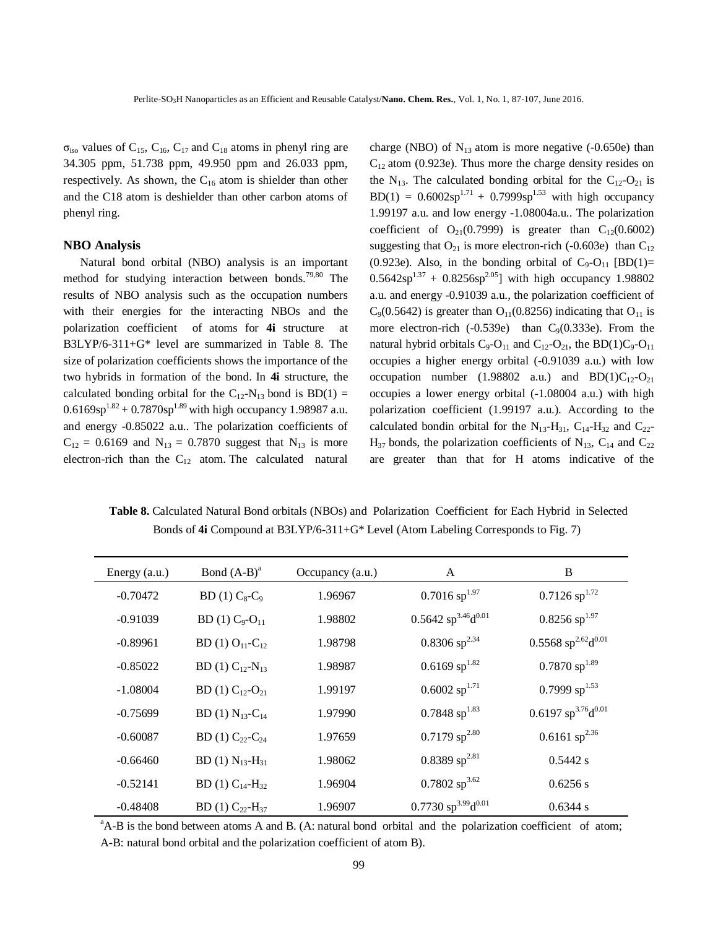$\sigma_{iso}$  values of C<sub>15</sub>, C<sub>16</sub>, C<sub>17</sub> and C<sub>18</sub> atoms in phenyl ring are 34.305 ppm, 51.738 ppm, 49.950 ppm and 26.033 ppm, respectively. As shown, the  $C_{16}$  atom is shielder than other and the C18 atom is deshielder than other carbon atoms of phenyl ring.

#### **NBO Analysis**

Natural bond orbital (NBO) analysis is an important method for studying interaction between bonds.<sup>79,80</sup> The results of NBO analysis such as the occupation numbers with their energies for the interacting NBOs and the polarization coefficient of atoms for **4i** structure at B3LYP/6-311+G\* level are summarized in Table 8. The size of polarization coefficients shows the importance of the two hybrids in formation of the bond. In **4i** structure, the calculated bonding orbital for the  $C_{12}$ -N<sub>13</sub> bond is BD(1) =  $0.6169sp^{1.82} + 0.7870sp^{1.89}$  with high occupancy 1.98987 a.u. and energy -0.85022 a.u.. The polarization coefficients of  $C_{12} = 0.6169$  and  $N_{13} = 0.7870$  suggest that  $N_{13}$  is more electron-rich than the  $C_{12}$  atom. The calculated natural charge (NBO) of  $N_{13}$  atom is more negative (-0.650e) than  $C_{12}$  atom (0.923e). Thus more the charge density resides on the  $N_{13}$ . The calculated bonding orbital for the C<sub>12</sub>-O<sub>21</sub> is  $BD(1) = 0.6002sp^{1.71} + 0.7999sp^{1.53}$  with high occupancy 1.99197 a.u. and low energy -1.08004a.u.. The polarization coefficient of  $O_{21}(0.7999)$  is greater than  $C_{12}(0.6002)$ suggesting that  $O_{21}$  is more electron-rich (-0.603e) than  $C_{12}$ (0.923e). Also, in the bonding orbital of  $C_9$ -O<sub>11</sub> [BD(1)=  $0.5642sp^{1.37} + 0.8256sp^{2.05}$  with high occupancy 1.98802 a.u. and energy -0.91039 a.u., the polarization coefficient of  $C_9(0.5642)$  is greater than  $O_{11}(0.8256)$  indicating that  $O_{11}$  is more electron-rich  $(-0.539e)$  than  $C<sub>9</sub>(0.333e)$ . From the natural hybrid orbitals  $C_9$ - $O_{11}$  and  $C_{12}$ - $O_{21}$ , the BD(1)C<sub>9</sub>- $O_{11}$ occupies a higher energy orbital (-0.91039 a.u.) with low occupation number (1.98802 a.u.) and  $BD(1)C_{12}-O_{21}$ occupies a lower energy orbital (-1.08004 a.u.) with high polarization coefficient (1.99197 a.u.). According to the calculated bondin orbital for the  $N_{13}$ -H<sub>31</sub>, C<sub>14</sub>-H<sub>32</sub> and C<sub>22</sub>- $H_{37}$  bonds, the polarization coefficients of  $N_{13}$ ,  $C_{14}$  and  $C_{22}$ are greater than that for H atoms indicative of the

 **Table 8.** Calculated Natural Bond orbitals (NBOs) and Polarization Coefficient for Each Hybrid in Selected Bonds of **4i** Compound at B3LYP/6-311+G\* Level (Atom Labeling Corresponds to Fig. 7)

| Energy $(a.u.)$ | Bond $(A-B)^a$                   | Occupancy (a.u.) | A                                             | B                                             |
|-----------------|----------------------------------|------------------|-----------------------------------------------|-----------------------------------------------|
| $-0.70472$      | $BD(1) C_8-C_9$                  | 1.96967          | $0.7016$ sp <sup>1.97</sup>                   | $0.7126$ sp <sup>1.72</sup>                   |
| $-0.91039$      | $BD(1) C_9-O_{11}$               | 1.98802          | $0.5642$ sp <sup>3.46</sup> d <sup>0.01</sup> | $0.8256$ sp <sup>1.97</sup>                   |
| $-0.89961$      | BD (1) $O_{11}$ -C <sub>12</sub> | 1.98798          | $0.8306$ sp <sup>2.34</sup>                   | $0.5568$ sp <sup>2.62</sup> d <sup>0.01</sup> |
| $-0.85022$      | BD (1) $C_{12}$ -N <sub>13</sub> | 1.98987          | $0.6169$ sp <sup>1.82</sup>                   | $0.7870$ sp <sup>1.89</sup>                   |
| $-1.08004$      | BD (1) $C_{12}$ - $O_{21}$       | 1.99197          | $0.6002$ sp <sup>1.71</sup>                   | 0.7999 $sp^{1.53}$                            |
| $-0.75699$      | BD (1) $N_{13}$ -C <sub>14</sub> | 1.97990          | $0.7848$ sp <sup>1.83</sup>                   | 0.6197 $sp^{3.76}d^{0.01}$                    |
| $-0.60087$      | BD (1) $C_{22}$ - $C_{24}$       | 1.97659          | $0.7179$ sp <sup>2.80</sup>                   | $0.6161$ sp <sup>2.36</sup>                   |
| $-0.66460$      | BD (1) $N_{13}$ -H <sub>31</sub> | 1.98062          | $0.8389$ sp <sup>2.81</sup>                   | 0.5442 s                                      |
| $-0.52141$      | BD (1) $C_{14}$ -H <sub>32</sub> | 1.96904          | $0.7802$ sp <sup>3.62</sup>                   | 0.6256 s                                      |
| $-0.48408$      | BD (1) $C_{22}$ -H <sub>37</sub> | 1.96907          | 0.7730 sp <sup>3.99</sup> d <sup>0.01</sup>   | 0.6344 s                                      |

 $A$ -B is the bond between atoms A and B. (A: natural bond orbital and the polarization coefficient of atom; A-B: natural bond orbital and the polarization coefficient of atom B).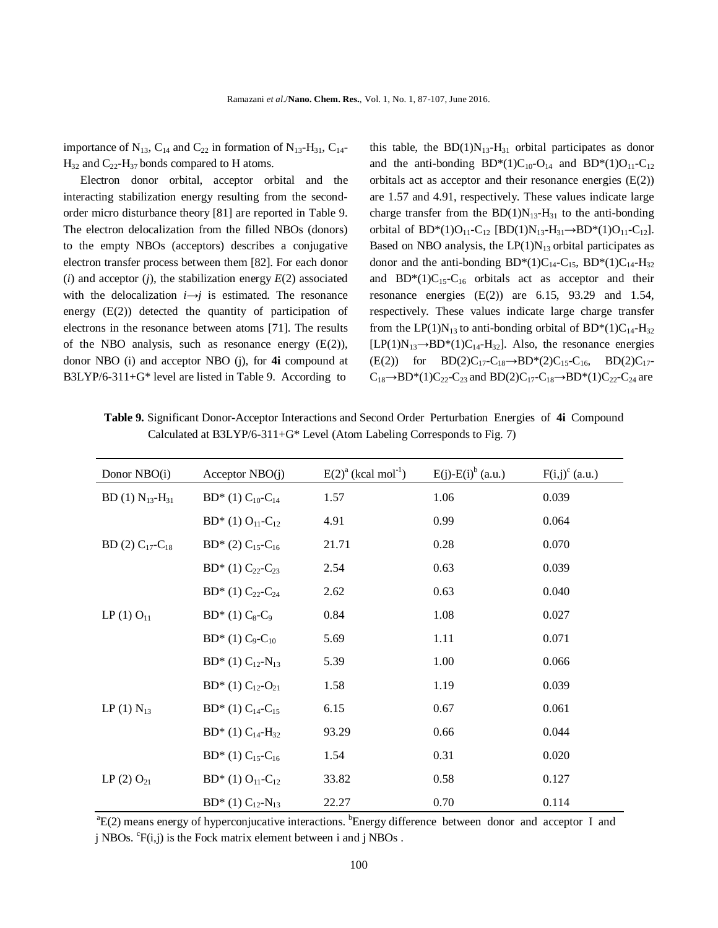importance of  $N_{13}$ ,  $C_{14}$  and  $C_{22}$  in formation of  $N_{13}$ -H<sub>31</sub>,  $C_{14}$ - $H_{32}$  and  $C_{22}$ - $H_{37}$  bonds compared to H atoms.

Electron donor orbital, acceptor orbital and the interacting stabilization energy resulting from the secondorder micro disturbance theory [81] are reported in Table 9. The electron delocalization from the filled NBOs (donors) to the empty NBOs (acceptors) describes a conjugative electron transfer process between them [82]. For each donor  $(i)$  and acceptor  $(j)$ , the stabilization energy  $E(2)$  associated with the delocalization  $i \rightarrow j$  is estimated. The resonance energy  $(E(2))$  detected the quantity of participation of electrons in the resonance between atoms [71]. The results of the NBO analysis, such as resonance energy  $(E(2))$ , donor NBO (i) and acceptor NBO (j), for **4i** compound at B3LYP/6-311+G\* level are listed in Table 9. According to

this table, the  $BD(1)N_{13}-H_{31}$  orbital participates as donor and the anti-bonding  $BD^*(1)C_{10}$ -O<sub>14</sub> and  $BD^*(1)O_{11}$ -C<sub>12</sub> orbitals act as acceptor and their resonance energies (E(2)) are 1.57 and 4.91, respectively. These values indicate large charge transfer from the  $BD(1)N_{13}-H_{31}$  to the anti-bonding orbital of  $BD^*(1)O_{11}$ -C<sub>12</sub> [BD(1)N<sub>13</sub>-H<sub>31</sub> $\rightarrow$ BD\*(1)O<sub>11</sub>-C<sub>12</sub>]. Based on NBO analysis, the  $LP(1)N_{13}$  orbital participates as donor and the anti-bonding  $BD^*(1)C_{14}-C_{15}$ ,  $BD^*(1)C_{14}-H_{32}$ and  $BD^*(1)C_{15}-C_{16}$  orbitals act as acceptor and their resonance energies (E(2)) are 6.15, 93.29 and 1.54, respectively. These values indicate large charge transfer from the LP(1)N<sub>13</sub> to anti-bonding orbital of BD\*(1)C<sub>14</sub>-H<sub>32</sub>  $[LP(1)N_{13} \rightarrow BD^*(1)C_{14} - H_{32}]$ . Also, the resonance energies (E(2)) for BD(2)C<sub>17</sub>-C<sub>18</sub>→BD\*(2)C<sub>15</sub>-C<sub>16</sub>, BD(2)C<sub>17</sub>- $C_{18} \rightarrow BD^*(1)C_{22}-C_{23}$  and  $BD(2)C_{17}-C_{18} \rightarrow BD^*(1)C_{22}-C_{24}$  are

 **Table 9.** Significant Donor-Acceptor Interactions and Second Order Perturbation Energies of **4i** Compound Calculated at B3LYP/6-311+G\* Level (Atom Labeling Corresponds to Fig. 7)

| Donor NBO(i)               | Acceptor $NBO(j)$                    | $E(2)^{a}$ (kcal mol <sup>-1</sup> ) | $E(j)$ - $E(i)$ <sup>b</sup> (a.u.) | $F(i,j)^c$ (a.u.) |
|----------------------------|--------------------------------------|--------------------------------------|-------------------------------------|-------------------|
| BD (1) $N_{13} - H_{31}$   | BD* (1) $C_{10}$ - $C_{14}$          | 1.57                                 | 1.06                                | 0.039             |
|                            | $BD^*$ (1) $O_{11}$ -C <sub>12</sub> | 4.91                                 | 0.99                                | 0.064             |
| BD (2) $C_{17}$ - $C_{18}$ | BD* (2) $C_{15}$ -C <sub>16</sub>    | 21.71                                | 0.28                                | 0.070             |
|                            | BD* (1) $C_{22}$ - $C_{23}$          | 2.54                                 | 0.63                                | 0.039             |
|                            | BD* (1) $C_{22}$ - $C_{24}$          | 2.62                                 | 0.63                                | 0.040             |
| $LP(1) O_{11}$             | $BD^*(1) C_8-C_9$                    | 0.84                                 | 1.08                                | 0.027             |
|                            | $BD^*(1) C_9-C_{10}$                 | 5.69                                 | 1.11                                | 0.071             |
|                            | BD* (1) $C_{12}$ -N <sub>13</sub>    | 5.39                                 | 1.00                                | 0.066             |
|                            | $BD^*(1) C_{12} - O_{21}$            | 1.58                                 | 1.19                                | 0.039             |
| LP (1) $N_{13}$            | BD* (1) $C_{14}$ -C <sub>15</sub>    | 6.15                                 | 0.67                                | 0.061             |
|                            | BD* (1) $C_{14}$ -H <sub>32</sub>    | 93.29                                | 0.66                                | 0.044             |
|                            | BD* (1) $C_{15}$ -C <sub>16</sub>    | 1.54                                 | 0.31                                | 0.020             |
| LP (2) $O_{21}$            | BD* (1) $O_{11}$ -C <sub>12</sub>    | 33.82                                | 0.58                                | 0.127             |
|                            | BD* (1) $C_{12}$ -N <sub>13</sub>    | 22.27                                | 0.70                                | 0.114             |

<sup>a</sup>E(2) means energy of hyperconjucative interactions. <sup>b</sup>Energy difference between donor and acceptor I and j NBOs.  ${}^{c}F(i,j)$  is the Fock matrix element between i and j NBOs.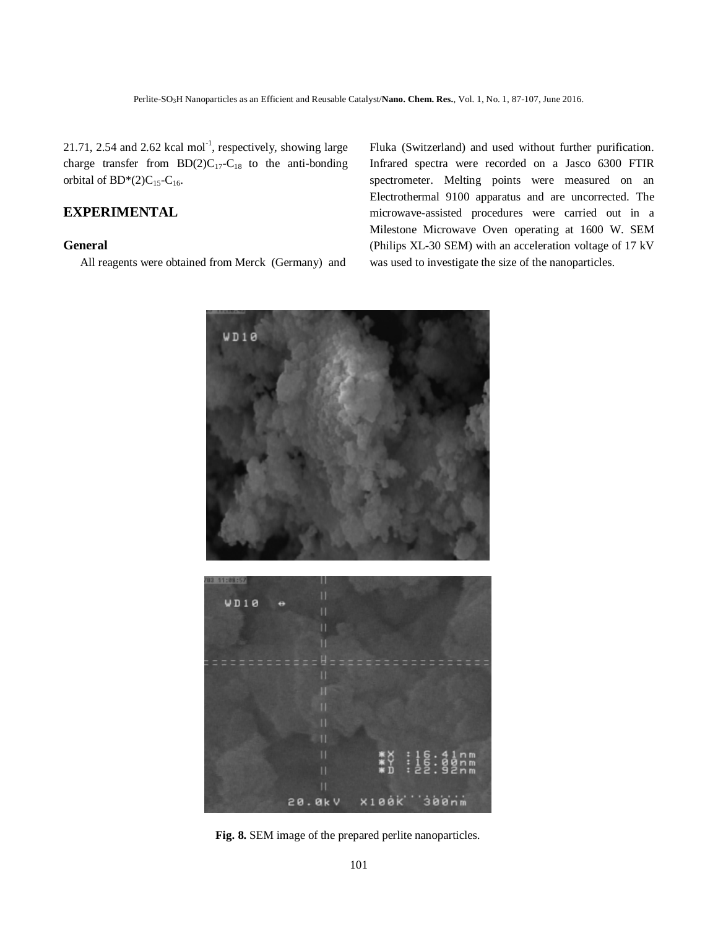$21.71$ ,  $2.54$  and  $2.62$  kcal mol<sup>-1</sup>, respectively, showing large charge transfer from  $BD(2)C_{17}-C_{18}$  to the anti-bonding orbital of  $BD*(2)C_{15}$ -C<sub>16</sub>.

# **EXPERIMENTAL**

### **General**

All reagents were obtained from Merck (Germany) and

Fluka (Switzerland) and used without further purification. Infrared spectra were recorded on a Jasco 6300 FTIR spectrometer. Melting points were measured on an Electrothermal 9100 apparatus and are uncorrected. The microwave-assisted procedures were carried out in a Milestone Microwave Oven operating at 1600 W. SEM (Philips XL-30 SEM) with an acceleration voltage of 17 kV was used to investigate the size of the nanoparticles.



**Fig. 8.** SEM image of the prepared perlite nanoparticles.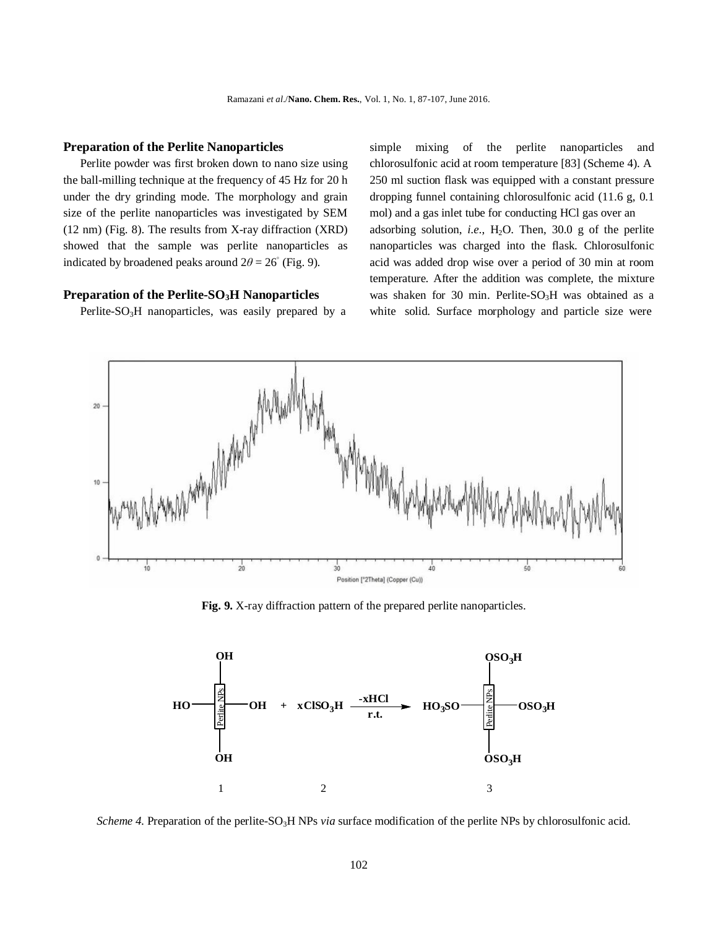#### **Preparation of the Perlite Nanoparticles**

Perlite powder was first broken down to nano size using the ball-milling technique at the frequency of 45 Hz for 20 h under the dry grinding mode. The morphology and grain size of the perlite nanoparticles was investigated by SEM (12 nm) (Fig. 8). The results from X-ray diffraction (XRD) showed that the sample was perlite nanoparticles as indicated by broadened peaks around  $2\theta = 26^\circ$  (Fig. 9).

#### **Preparation of the Perlite-SO3H Nanoparticles**

Perlite- $SO<sub>3</sub>H$  nanoparticles, was easily prepared by a

simple mixing of the perlite nanoparticles and chlorosulfonic acid at room temperature [83] (Scheme 4). A 250 ml suction flask was equipped with a constant pressure dropping funnel containing chlorosulfonic acid (11.6 g, 0.1 mol) and a gas inlet tube for conducting HCl gas over an adsorbing solution, *i.e.*,  $H_2O$ . Then, 30.0 g of the perlite nanoparticles was charged into the flask. Chlorosulfonic acid was added drop wise over a period of 30 min at room temperature. After the addition was complete, the mixture was shaken for 30 min. Perlite- $SO<sub>3</sub>H$  was obtained as a white solid. Surface morphology and particle size were



**Fig. 9.** X-ray diffraction pattern of the prepared perlite nanoparticles.



*Scheme 4.* Preparation of the perlite-SO<sub>3</sub>H NPs *via* surface modification of the perlite NPs by chlorosulfonic acid.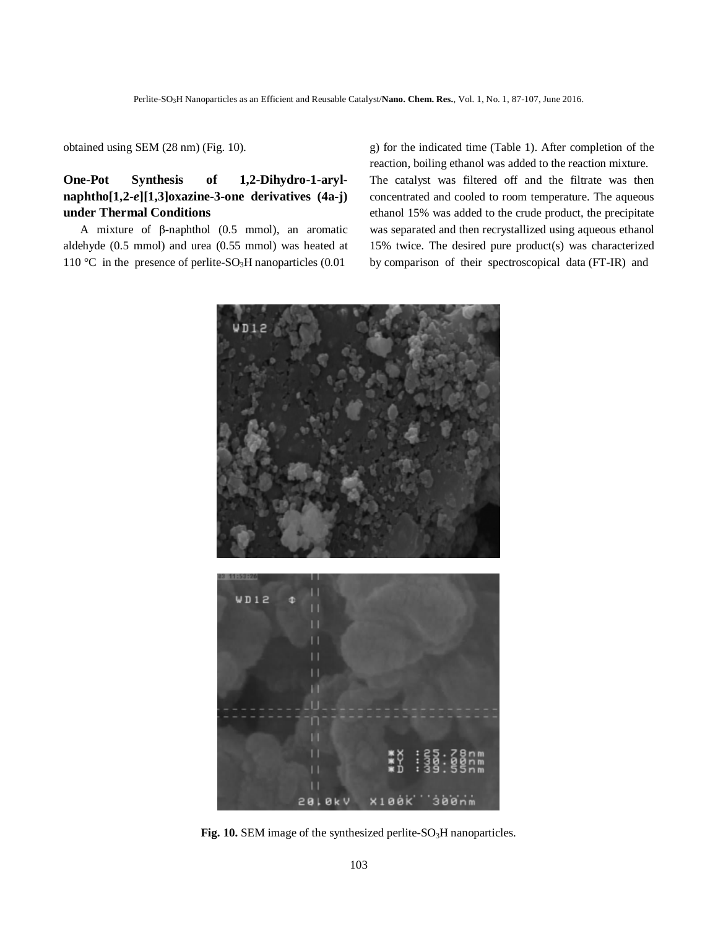obtained using SEM (28 nm) (Fig. 10).

# **One-Pot Synthesis of 1,2-Dihydro-1-arylnaphtho[1,2-***e***][1,3]oxazine-3-one derivatives (4a-j) under Thermal Conditions**

A mixture of β-naphthol (0.5 mmol), an aromatic aldehyde (0.5 mmol) and urea (0.55 mmol) was heated at 110 °C in the presence of perlite-SO<sub>3</sub>H nanoparticles  $(0.01)$ 

g) for the indicated time (Table 1). After completion of the reaction, boiling ethanol was added to the reaction mixture. The catalyst was filtered off and the filtrate was then concentrated and cooled to room temperature. The aqueous ethanol 15% was added to the crude product, the precipitate was separated and then recrystallized using aqueous ethanol 15% twice. The desired pure product(s) was characterized by comparison of their spectroscopical data (FT-IR) and



Fig. 10. SEM image of the synthesized perlite-SO<sub>3</sub>H nanoparticles.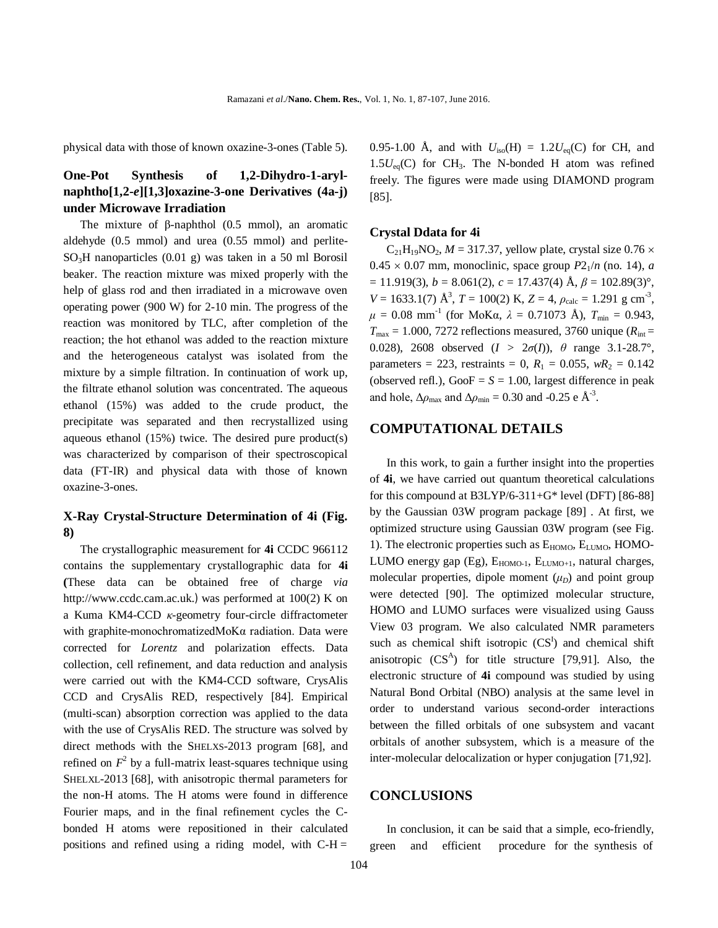physical data with those of known oxazine-3-ones (Table 5).

## **One-Pot Synthesis of 1,2-Dihydro-1-arylnaphtho[1,2-***e***][1,3]oxazine-3-one Derivatives (4a-j) under Microwave Irradiation**

The mixture of β-naphthol  $(0.5 \text{ mmol})$ , an aromatic aldehyde (0.5 mmol) and urea (0.55 mmol) and perlite-SO3H nanoparticles (0.01 g) was taken in a 50 ml Borosil beaker. The reaction mixture was mixed properly with the help of glass rod and then irradiated in a microwave oven operating power (900 W) for 2-10 min. The progress of the reaction was monitored by TLC, after completion of the reaction; the hot ethanol was added to the reaction mixture and the heterogeneous catalyst was isolated from the mixture by a simple filtration. In continuation of work up, the filtrate ethanol solution was concentrated. The aqueous ethanol (15%) was added to the crude product, the precipitate was separated and then recrystallized using aqueous ethanol (15%) twice. The desired pure product(s) was characterized by comparison of their spectroscopical data (FT-IR) and physical data with those of known oxazine-3-ones.

## **X-Ray Crystal-Structure Determination of 4i (Fig. 8)**

The crystallographic measurement for **4i** CCDC 966112 contains the supplementary crystallographic data for **4i (**These data can be obtained free of charge *via*  http://www.ccdc.cam.ac.uk.) was performed at 100(2) K on a Kuma KM4-CCD *κ*-geometry four-circle diffractometer with graphite-monochromatizedMoKα radiation. Data were corrected for *Lorentz* and polarization effects. Data collection, cell refinement, and data reduction and analysis were carried out with the KM4-CCD software, CrysAlis CCD and CrysAlis RED, respectively [84]. Empirical (multi-scan) absorption correction was applied to the data with the use of CrysAlis RED. The structure was solved by direct methods with the SHELXS-2013 program [68], and refined on  $F^2$  by a full-matrix least-squares technique using SHELXL-2013 [68], with anisotropic thermal parameters for the non-H atoms. The H atoms were found in difference Fourier maps, and in the final refinement cycles the Cbonded H atoms were repositioned in their calculated positions and refined using a riding model, with  $C-H =$ 

0.95-1.00 Å, and with  $U_{iso}(H) = 1.2U_{eq}(C)$  for CH, and  $1.5U_{eq}(C)$  for CH<sub>3</sub>. The N-bonded H atom was refined freely. The figures were made using DIAMOND program [85].

#### **Crystal Ddata for 4i**

 $C_{21}H_{19}NO_2$ ,  $M = 317.37$ , yellow plate, crystal size 0.76  $\times$  $0.45 \times 0.07$  mm, monoclinic, space group  $P2_1/n$  (no. 14), *a*  $= 11.919(3), b = 8.061(2), c = 17.437(4)$  Å,  $\beta = 102.89(3)$ °,  $V = 1633.1(7)$   $\text{\AA}^3$ ,  $T = 100(2)$  K,  $Z = 4$ ,  $\rho_{\text{calc}} = 1.291$  g cm<sup>-3</sup>,  $\mu = 0.08$  mm<sup>-1</sup> (for MoKa,  $\lambda = 0.71073$  Å),  $T_{min} = 0.943$ ,  $T_{\text{max}} = 1.000$ , 7272 reflections measured, 3760 unique ( $R_{\text{int}} =$ 0.028), 2608 observed  $(I > 2\sigma(I))$ ,  $\theta$  range 3.1-28.7°, parameters = 223, restraints = 0,  $R_1$  = 0.055,  $wR_2$  = 0.142 (observed refl.),  $GooF = S = 1.00$ , largest difference in peak and hole,  $\Delta \rho_{\text{max}}$  and  $\Delta \rho_{\text{min}} = 0.30$  and -0.25 e  $\AA$ <sup>-3</sup>.

## **COMPUTATIONAL DETAILS**

In this work, to gain a further insight into the properties of **4i**, we have carried out quantum theoretical calculations for this compound at B3LYP/6-311+G\* level (DFT) [86-88] by the Gaussian 03W program package [89] . At first, we optimized structure using Gaussian 03W program (see Fig. 1). The electronic properties such as  $E_{HOMO}$ ,  $E_{LUMO}$ ,  $HOMO$ -LUMO energy gap  $(Eg)$ ,  $E_{HOMO-1}$ ,  $E_{LUMO+1}$ , natural charges, molecular properties, dipole moment  $(\mu_D)$  and point group were detected [90]. The optimized molecular structure, HOMO and LUMO surfaces were visualized using Gauss View 03 program. We also calculated NMR parameters such as chemical shift isotropic  $(CS<sup>I</sup>)$  and chemical shift anisotropic  $(CS<sup>A</sup>)$  for title structure [79,91]. Also, the electronic structure of **4i** compound was studied by using Natural Bond Orbital (NBO) analysis at the same level in order to understand various second-order interactions between the filled orbitals of one subsystem and vacant orbitals of another subsystem, which is a measure of the inter-molecular delocalization or hyper conjugation [71,92].

### **CONCLUSIONS**

In conclusion, it can be said that a simple, eco-friendly, green and efficient procedure for the synthesis of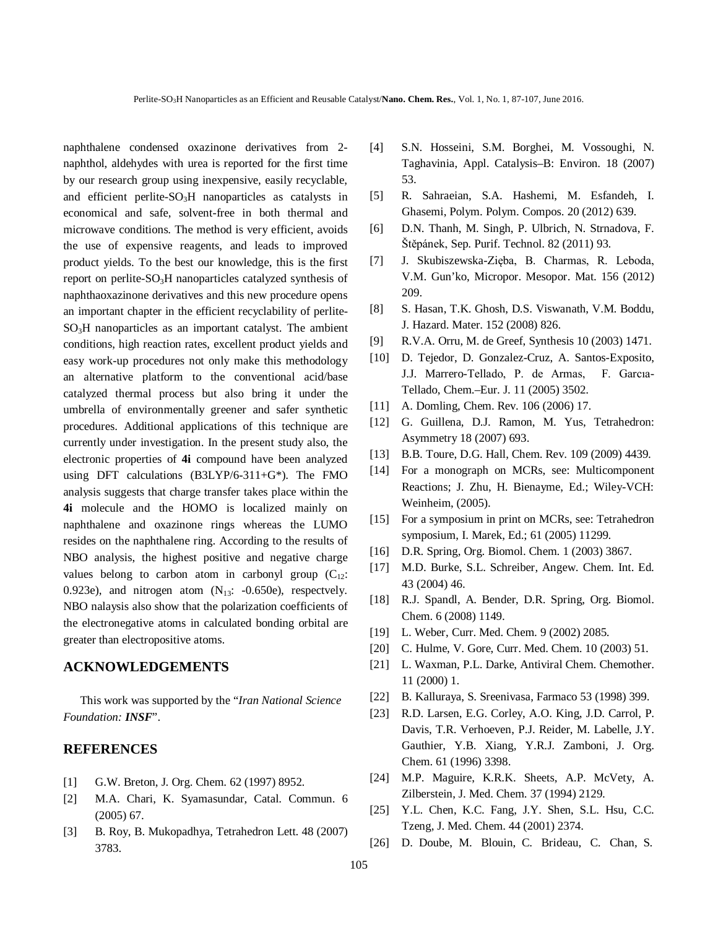naphthalene condensed oxazinone derivatives from 2 naphthol, aldehydes with urea is reported for the first time by our research group using inexpensive, easily recyclable, and efficient perlite- $SO<sub>3</sub>H$  nanoparticles as catalysts in economical and safe, solvent-free in both thermal and microwave conditions. The method is very efficient, avoids the use of expensive reagents, and leads to improved product yields. To the best our knowledge, this is the first report on perlite-SO3H nanoparticles catalyzed synthesis of naphthaoxazinone derivatives and this new procedure opens an important chapter in the efficient recyclability of perlite- $SO<sub>3</sub>H$  nanoparticles as an important catalyst. The ambient conditions, high reaction rates, excellent product yields and easy work-up procedures not only make this methodology an alternative platform to the conventional acid/base catalyzed thermal process but also bring it under the umbrella of environmentally greener and safer synthetic procedures. Additional applications of this technique are currently under investigation. In the present study also, the electronic properties of **4i** compound have been analyzed using DFT calculations (B3LYP/6-311+G\*). The FMO analysis suggests that charge transfer takes place within the **4i** molecule and the HOMO is localized mainly on naphthalene and oxazinone rings whereas the LUMO resides on the naphthalene ring. According to the results of NBO analysis, the highest positive and negative charge values belong to carbon atom in carbonyl group  $(C_{12}:$ 0.923e), and nitrogen atom  $(N_{13}: -0.650e)$ , respectvely. NBO nalaysis also show that the polarization coefficients of the electronegative atoms in calculated bonding orbital are greater than electropositive atoms.

## **ACKNOWLEDGEMENTS**

This work was supported by the "*Iran National Science Foundation: INSF*".

## **REFERENCES**

- [1] G.W. Breton, J. Org. Chem. 62 (1997) 8952.
- [2] M.A. Chari, K. Syamasundar, Catal. Commun. 6 (2005) 67.
- [3] B. Roy, B. Mukopadhya, Tetrahedron Lett. 48 (2007) 3783.
- [4] S.N. Hosseini, S.M. Borghei, M. Vossoughi, N. Taghavinia, Appl. Catalysis–B: Environ. 18 (2007) 53.
- [5] R. Sahraeian, S.A. Hashemi, M. Esfandeh, I. Ghasemi, Polym. Polym. Compos. 20 (2012) 639.
- [6] D.N. Thanh, M. Singh, P. Ulbrich, N. Strnadova, F. Štěpánek, Sep. Purif. Technol. 82 (2011) 93.
- [7] J. Skubiszewska-Zięba, B. Charmas, R. Leboda, V.M. Gun'ko, Micropor. Mesopor. Mat. 156 (2012) 209.
- [8] S. Hasan, T.K. Ghosh, D.S. Viswanath, V.M. Boddu, J. Hazard. Mater. 152 (2008) 826.
- [9] R.V.A. Orru, M. de Greef, Synthesis 10 (2003) 1471.
- [10] D. Tejedor, D. Gonzalez-Cruz, A. Santos-Exposito, J.J. Marrero-Tellado, P. de Armas, F. Garcıa-Tellado, Chem.–Eur. J. 11 (2005) 3502.
- [11] A. Domling, Chem. Rev. 106 (2006) 17.
- [12] G. Guillena, D.J. Ramon, M. Yus, Tetrahedron: Asymmetry 18 (2007) 693.
- [13] B.B. Toure, D.G. Hall, Chem. Rev. 109 (2009) 4439.
- [14] For a monograph on MCRs, see: Multicomponent Reactions; J. Zhu, H. Bienayme, Ed.; Wiley-VCH: Weinheim, (2005).
- [15] For a symposium in print on MCRs, see: Tetrahedron symposium, I. Marek, Ed.; 61 (2005) 11299.
- [16] D.R. Spring, Org. Biomol. Chem. 1 (2003) 3867.
- [17] M.D. Burke, S.L. Schreiber, Angew. Chem. Int. Ed. 43 (2004) 46.
- [18] R.J. Spandl, A. Bender, D.R. Spring, Org. Biomol. Chem. 6 (2008) 1149.
- [19] L. Weber, Curr. Med. Chem. 9 (2002) 2085.
- [20] C. Hulme, V. Gore, Curr. Med. Chem. 10 (2003) 51.
- [21] L. Waxman, P.L. Darke, Antiviral Chem. Chemother. 11 (2000) 1.
- [22] B. Kalluraya, S. Sreenivasa, Farmaco 53 (1998) 399.
- [23] R.D. Larsen, E.G. Corley, A.O. King, J.D. Carrol, P. Davis, T.R. Verhoeven, P.J. Reider, M. Labelle, J.Y. Gauthier, Y.B. Xiang, Y.R.J. Zamboni, J. Org. Chem. 61 (1996) 3398.
- [24] M.P. Maguire, K.R.K. Sheets, A.P. McVety, A. Zilberstein, J. Med. Chem. 37 (1994) 2129.
- [25] Y.L. Chen, K.C. Fang, J.Y. Shen, S.L. Hsu, C.C. Tzeng, J. Med. Chem. 44 (2001) 2374.
- [26] D. Doube, M. Blouin, C. Brideau, C. Chan, S.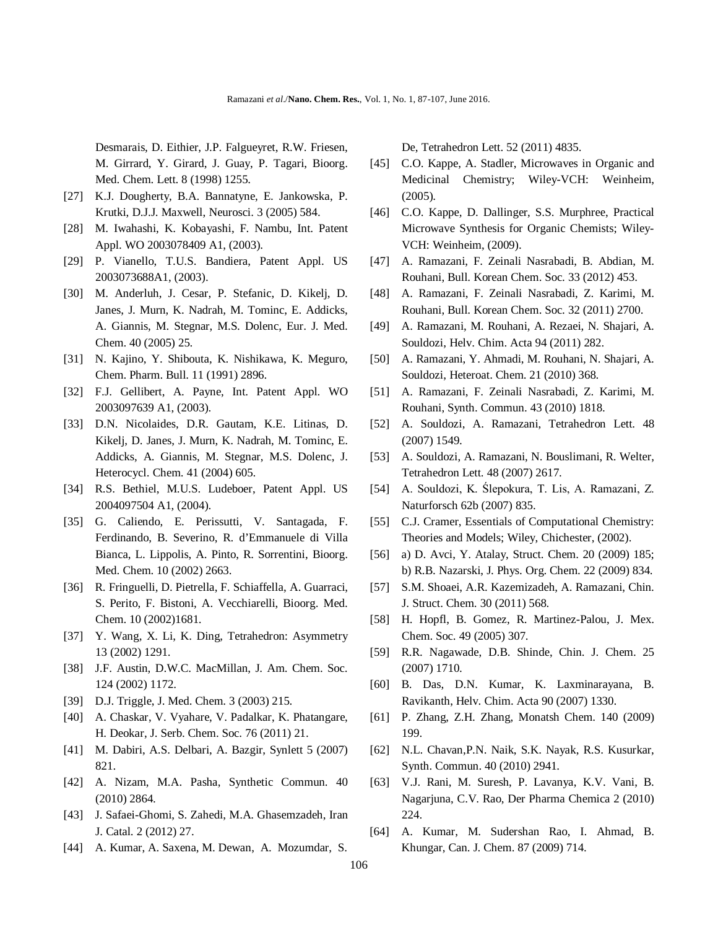Desmarais, D. Eithier, J.P. Falgueyret, R.W. Friesen, M. Girrard, Y. Girard, J. Guay, P. Tagari, Bioorg. Med. Chem. Lett. 8 (1998) 1255.

- [27] K.J. Dougherty, B.A. Bannatyne, E. Jankowska, P. Krutki, D.J.J. Maxwell, Neurosci. 3 (2005) 584.
- [28] M. Iwahashi, K. Kobayashi, F. Nambu, Int. Patent Appl. WO 2003078409 A1, (2003).
- [29] P. Vianello, T.U.S. Bandiera, Patent Appl. US 2003073688A1, (2003).
- [30] M. Anderluh, J. Cesar, P. Stefanic, D. Kikelj, D. Janes, J. Murn, K. Nadrah, M. Tominc, E. Addicks, A. Giannis, M. Stegnar, M.S. Dolenc, Eur. J. Med. Chem. 40 (2005) 25.
- [31] N. Kajino, Y. Shibouta, K. Nishikawa, K. Meguro, Chem. Pharm. Bull. 11 (1991) 2896.
- [32] F.J. Gellibert, A. Payne, Int. Patent Appl. WO 2003097639 A1, (2003).
- [33] D.N. Nicolaides, D.R. Gautam, K.E. Litinas, D. Kikelj, D. Janes, J. Murn, K. Nadrah, M. Tominc, E. Addicks, A. Giannis, M. Stegnar, M.S. Dolenc, J. Heterocycl. Chem. 41 (2004) 605.
- [34] R.S. Bethiel, M.U.S. Ludeboer, Patent Appl. US 2004097504 A1, (2004).
- [35] G. Caliendo, E. Perissutti, V. Santagada, F. Ferdinando, B. Severino, R. d'Emmanuele di Villa Bianca, L. Lippolis, A. Pinto, R. Sorrentini, Bioorg. Med. Chem. 10 (2002) 2663.
- [36] R. Fringuelli, D. Pietrella, F. Schiaffella, A. Guarraci, S. Perito, F. Bistoni, A. Vecchiarelli, Bioorg. Med. Chem. 10 (2002)1681.
- [37] Y. Wang, X. Li, K. Ding, Tetrahedron: Asymmetry 13 (2002) 1291.
- [38] J.F. Austin, D.W.C. MacMillan, J. Am. Chem. Soc. 124 (2002) 1172.
- [39] D.J. Triggle, J. Med. Chem. 3 (2003) 215.
- [40] A. Chaskar, V. Vyahare, V. Padalkar, K. Phatangare, H. Deokar, J. Serb. Chem. Soc. 76 (2011) 21.
- [41] M. Dabiri, A.S. Delbari, A. Bazgir, Synlett 5 (2007) 821.
- [42] A. Nizam, M.A. Pasha, Synthetic Commun. 40 (2010) 2864.
- [43] J. Safaei-Ghomi, S. Zahedi, M.A. Ghasemzadeh, Iran J. Catal. 2 (2012) 27.
- [44] A. Kumar, A. Saxena, M. Dewan, A. Mozumdar, S.

De, Tetrahedron Lett. 52 (2011) 4835.

- [45] C.O. Kappe, A. Stadler, Microwaves in Organic and Medicinal Chemistry; Wiley-VCH: Weinheim, (2005).
- [46] C.O. Kappe, D. Dallinger, S.S. Murphree, Practical Microwave Synthesis for Organic Chemists; Wiley-VCH: Weinheim, (2009).
- [47] A. Ramazani, F. Zeinali Nasrabadi, B. Abdian, M. Rouhani, Bull. Korean Chem. Soc. 33 (2012) 453.
- [48] A. Ramazani, F. Zeinali Nasrabadi, Z. Karimi, M. Rouhani, Bull. Korean Chem. Soc. 32 (2011) 2700.
- [49] A. Ramazani, M. Rouhani, A. Rezaei, N. Shajari, A. Souldozi, Helv. Chim. Acta 94 (2011) 282.
- [50] A. Ramazani, Y. Ahmadi, M. Rouhani, N. Shajari, A. Souldozi, Heteroat. Chem. 21 (2010) 368.
- [51] A. Ramazani, F. Zeinali Nasrabadi, Z. Karimi, M. Rouhani, Synth. Commun. 43 (2010) 1818.
- [52] A. Souldozi, A. Ramazani, Tetrahedron Lett. 48 (2007) 1549.
- [53] A. Souldozi, A. Ramazani, N. Bouslimani, R. Welter, Tetrahedron Lett. 48 (2007) 2617.
- [54] A. Souldozi, K. Ślepokura, T. Lis, A. Ramazani, Z. Naturforsch 62b (2007) 835.
- [55] C.J. Cramer, Essentials of Computational Chemistry: Theories and Models; Wiley, Chichester, (2002).
- [56] a) D. Avci, Y. Atalay, Struct. Chem. 20 (2009) 185; b) R.B. Nazarski, J. Phys. Org. Chem. 22 (2009) 834.
- [57] S.M. Shoaei, A.R. Kazemizadeh, A. Ramazani, Chin. J. Struct. Chem. 30 (2011) 568.
- [58] H. Hopfl, B. Gomez, R. Martinez-Palou, J. Mex. Chem. Soc. 49 (2005) 307.
- [59] R.R. Nagawade, D.B. Shinde, Chin. J. Chem. 25 (2007) 1710.
- [60] B. Das, D.N. Kumar, K. Laxminarayana, B. Ravikanth, Helv. Chim. Acta 90 (2007) 1330.
- [61] P. Zhang, Z.H. Zhang, Monatsh Chem. 140 (2009) 199.
- [62] N.L. Chavan,P.N. Naik, S.K. Nayak, R.S. Kusurkar, Synth. Commun. 40 (2010) 2941.
- [63] V.J. Rani, M. Suresh, P. Lavanya, K.V. Vani, B. Nagarjuna, C.V. Rao, Der Pharma Chemica 2 (2010) 224.
- [64] A. Kumar, M. Sudershan Rao, I. Ahmad, B. Khungar, Can. J. Chem. 87 (2009) 714.